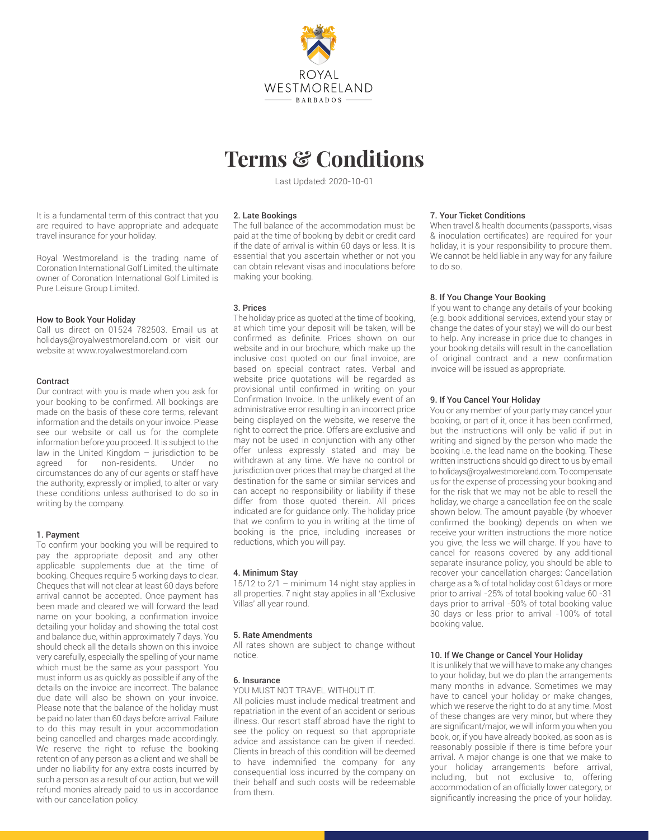

# **Terms & Conditions**

Last Updated: 2020-10-01

It is a fundamental term of this contract that you are required to have appropriate and adequate travel insurance for your holiday.

Royal Westmoreland is the trading name of Coronation International Golf Limited, the ultimate owner of Coronation International Golf Limited is Pure Leisure Group Limited.

# How to Book Your Holiday

Call us direct on 01524 782503. Email us at holidays@royalwestmoreland.com or visit our website at www.royalwestmoreland.com

# Contract

Our contract with you is made when you ask for your booking to be confirmed. All bookings are made on the basis of these core terms, relevant information and the details on your invoice. Please see our website or call us for the complete information before you proceed. It is subject to the law in the United Kingdom – jurisdiction to be agreed for non-residents. Under no circumstances do any of our agents or staff have the authority, expressly or implied, to alter or vary these conditions unless authorised to do so in writing by the company.

# 1. Payment

To confirm your booking you will be required to pay the appropriate deposit and any other applicable supplements due at the time of booking. Cheques require 5 working days to clear. Cheques that will not clear at least 60 days before arrival cannot be accepted. Once payment has been made and cleared we will forward the lead name on your booking, a confirmation invoice detailing your holiday and showing the total cost and balance due, within approximately 7 days. You should check all the details shown on this invoice very carefully, especially the spelling of your name which must be the same as your passport. You must inform us as quickly as possible if any of the details on the invoice are incorrect. The balance due date will also be shown on your invoice. Please note that the balance of the holiday must be paid no later than 60 days before arrival. Failure to do this may result in your accommodation being cancelled and charges made accordingly. We reserve the right to refuse the booking retention of any person as a client and we shall be under no liability for any extra costs incurred by such a person as a result of our action, but we will refund monies already paid to us in accordance with our cancellation policy.

# 2. Late Bookings

The full balance of the accommodation must be paid at the time of booking by debit or credit card if the date of arrival is within 60 days or less. It is essential that you ascertain whether or not you can obtain relevant visas and inoculations before making your booking.

# 3. Prices

The holiday price as quoted at the time of booking, at which time your deposit will be taken, will be confirmed as definite. Prices shown on our website and in our brochure, which make up the inclusive cost quoted on our final invoice, are based on special contract rates. Verbal and website price quotations will be regarded as provisional until confirmed in writing on your Confirmation Invoice. In the unlikely event of an administrative error resulting in an incorrect price being displayed on the website, we reserve the right to correct the price. Offers are exclusive and may not be used in conjunction with any other offer unless expressly stated and may be withdrawn at any time. We have no control or jurisdiction over prices that may be charged at the destination for the same or similar services and can accept no responsibility or liability if these differ from those quoted therein. All prices indicated are for guidance only. The holiday price that we confirm to you in writing at the time of booking is the price, including increases or reductions, which you will pay.

# 4. Minimum Stay

 $15/12$  to  $2/1 -$  minimum 14 night stay applies in all properties. 7 night stay applies in all 'Exclusive Villas' all year round.

# 5. Rate Amendments

All rates shown are subject to change without notice.

# 6. Insurance

YOU MUST NOT TRAVEL WITHOUT IT.

All policies must include medical treatment and repatriation in the event of an accident or serious illness. Our resort staff abroad have the right to see the policy on request so that appropriate advice and assistance can be given if needed. Clients in breach of this condition will be deemed to have indemnified the company for any consequential loss incurred by the company on their behalf and such costs will be redeemable from them.

#### 7. Your Ticket Conditions

When travel & health documents (passports, visas & inoculation certificates) are required for your holiday, it is your responsibility to procure them. We cannot be held liable in any way for any failure to do so.

# 8. If You Change Your Booking

If you want to change any details of your booking (e.g. book additional services, extend your stay or change the dates of your stay) we will do our best to help. Any increase in price due to changes in your booking details will result in the cancellation of original contract and a new confirmation invoice will be issued as appropriate.

# 9. If You Cancel Your Holiday

You or any member of your party may cancel your booking, or part of it, once it has been confirmed, but the instructions will only be valid if put in writing and signed by the person who made the booking i.e. the lead name on the booking. These written instructions should go direct to us by email to holidays@royalwestmoreland.com. To compensate us for the expense of processing your booking and for the risk that we may not be able to resell the holiday, we charge a cancellation fee on the scale shown below. The amount payable (by whoever confirmed the booking) depends on when we receive your written instructions the more notice you give, the less we will charge. If you have to cancel for reasons covered by any additional separate insurance policy, you should be able to recover your cancellation charges: Cancellation charge as a % of total holiday cost 61days or more prior to arrival -25% of total booking value 60 -31 days prior to arrival -50% of total booking value 30 days or less prior to arrival -100% of total booking value.

# 10. If We Change or Cancel Your Holiday

It is unlikely that we will have to make any changes to your holiday, but we do plan the arrangements many months in advance. Sometimes we may have to cancel your holiday or make changes, which we reserve the right to do at any time. Most of these changes are very minor, but where they are significant/major, we will inform you when you book, or, if you have already booked, as soon as is reasonably possible if there is time before your arrival. A major change is one that we make to your holiday arrangements before arrival, including, but not exclusive to, offering accommodation of an officially lower category, or significantly increasing the price of your holiday.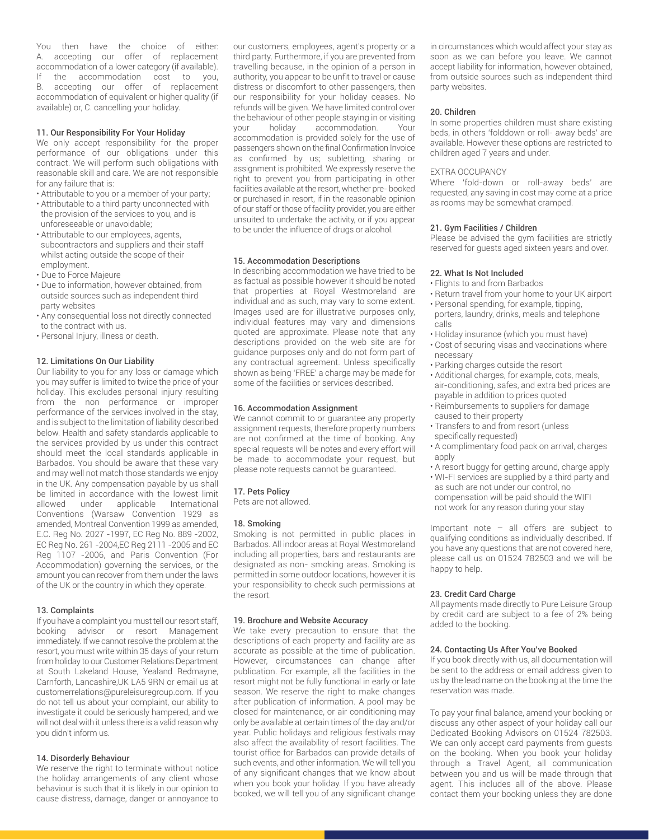You then have the choice of either: A. accepting our offer of replacement accommodation of a lower category (if available). If the accommodation cost to you, B. accepting our offer of replacement accommodation of equivalent or higher quality (if available) or, C. cancelling your holiday.

# 11. Our Responsibility For Your Holiday

We only accept responsibility for the proper performance of our obligations under this contract. We will perform such obligations with reasonable skill and care. We are not responsible for any failure that is:

- Attributable to you or a member of your party;
- Attributable to a third party unconnected with the provision of the services to you, and is unforeseeable or unavoidable;
- Attributable to our employees, agents, subcontractors and suppliers and their staff whilst acting outside the scope of their employment.
- Due to Force Majeure
- Due to information, however obtained, from outside sources such as independent third party websites
- Any consequential loss not directly connected to the contract with us.
- Personal Injury, illness or death.

# 12. Limitations On Our Liability

Our liability to you for any loss or damage which you may suffer is limited to twice the price of your holiday. This excludes personal injury resulting from the non performance or improper performance of the services involved in the stay, and is subject to the limitation of liability described below. Health and safety standards applicable to the services provided by us under this contract should meet the local standards applicable in Barbados. You should be aware that these vary and may well not match those standards we enjoy in the UK. Any compensation payable by us shall be limited in accordance with the lowest limit allowed under applicable International Conventions (Warsaw Convention 1929 as amended, Montreal Convention 1999 as amended, E.C. Reg No. 2027 -1997, EC Reg No. 889 -2002, EC Reg No. 261 -2004,EC Reg 2111 -2005 and EC Reg 1107 -2006, and Paris Convention (For Accommodation) governing the services, or the amount you can recover from them under the laws of the UK or the country in which they operate.

## 13. Complaints

If you have a complaint you must tell our resort staff, booking advisor or resort Management immediately. If we cannot resolve the problem at the resort, you must write within 35 days of your return from holiday to our Customer Relations Department at South Lakeland House, Yealand Redmayne, Carnforth, Lancashire,UK LA5 9RN or email us at customerrelations@pureleisuregroup.com. If you do not tell us about your complaint, our ability to investigate it could be seriously hampered, and we will not deal with it unless there is a valid reason why you didn't inform us.

## 14. Disorderly Behaviour

We reserve the right to terminate without notice the holiday arrangements of any client whose behaviour is such that it is likely in our opinion to cause distress, damage, danger or annoyance to our customers, employees, agent's property or a third party. Furthermore, if you are prevented from travelling because, in the opinion of a person in authority, you appear to be unfit to travel or cause distress or discomfort to other passengers, then our responsibility for your holiday ceases. No refunds will be given. We have limited control over the behaviour of other people staying in or visiting your holiday accommodation. Your accommodation is provided solely for the use of passengers shown on the final Confirmation Invoice as confirmed by us; subletting, sharing or assignment is prohibited. We expressly reserve the right to prevent you from participating in other facilities available at the resort, whether pre- booked or purchased in resort, if in the reasonable opinion of our staff or those of facility provider, you are either unsuited to undertake the activity, or if you appear to be under the influence of drugs or alcohol.

# 15. Accommodation Descriptions

In describing accommodation we have tried to be as factual as possible however it should be noted that properties at Royal Westmoreland are individual and as such, may vary to some extent. Images used are for illustrative purposes only, individual features may vary and dimensions quoted are approximate. Please note that any descriptions provided on the web site are for guidance purposes only and do not form part of any contractual agreement. Unless specifically shown as being 'FREE' a charge may be made for some of the facilities or services described.

### 16. Accommodation Assignment

We cannot commit to or guarantee any property assignment requests, therefore property numbers are not confirmed at the time of booking. Any special requests will be notes and every effort will be made to accommodate your request, but please note requests cannot be guaranteed.

# 17. Pets Policy

Pets are not allowed.

## 18. Smoking

Smoking is not permitted in public places in Barbados. All indoor areas at Royal Westmoreland including all properties, bars and restaurants are designated as non- smoking areas. Smoking is permitted in some outdoor locations, however it is your responsibility to check such permissions at the resort.

## 19. Brochure and Website Accuracy

We take every precaution to ensure that the descriptions of each property and facility are as accurate as possible at the time of publication. However, circumstances can change after publication. For example, all the facilities in the resort might not be fully functional in early or late season. We reserve the right to make changes after publication of information. A pool may be closed for maintenance, or air conditioning may only be available at certain times of the day and/or year. Public holidays and religious festivals may also affect the availability of resort facilities. The tourist office for Barbados can provide details of such events, and other information. We will tell you of any significant changes that we know about when you book your holiday. If you have already booked, we will tell you of any significant change in circumstances which would affect your stay as soon as we can before you leave. We cannot accept liability for information, however obtained, from outside sources such as independent third party websites.

## 20. Children

In some properties children must share existing beds, in others 'folddown or roll- away beds' are available. However these options are restricted to children aged 7 years and under.

# EXTRA OCCUPANCY

Where 'fold-down or roll-away beds' are requested, any saving in cost may come at a price as rooms may be somewhat cramped.

## 21. Gym Facilities / Children

Please be advised the gym facilities are strictly reserved for guests aged sixteen years and over.

#### 22. What Is Not Included

- Flights to and from Barbados
- Return travel from your home to your UK airport • Personal spending, for example, tipping,
- porters, laundry, drinks, meals and telephone calls
- Holiday insurance (which you must have)
- Cost of securing visas and vaccinations where necessary
- Parking charges outside the resort
- Additional charges, for example, cots, meals, air-conditioning, safes, and extra bed prices are payable in addition to prices quoted
- Reimbursements to suppliers for damage caused to their property
- Transfers to and from resort (unless specifically requested)
- A complimentary food pack on arrival, charges apply
- A resort buggy for getting around, charge apply
- WI-FI services are supplied by a third party and as such are not under our control, no compensation will be paid should the WIFI not work for any reason during your stay

Important note – all offers are subject to qualifying conditions as individually described. If you have any questions that are not covered here, please call us on 01524 782503 and we will be happy to help.

# 23. Credit Card Charge

All payments made directly to Pure Leisure Group by credit card are subject to a fee of 2% being added to the booking.

#### 24. Contacting Us After You've Booked

If you book directly with us, all documentation will be sent to the address or email address given to us by the lead name on the booking at the time the reservation was made.

To pay your final balance, amend your booking or discuss any other aspect of your holiday call our Dedicated Booking Advisors on 01524 782503. We can only accept card payments from guests on the booking. When you book your holiday through a Travel Agent, all communication between you and us will be made through that agent. This includes all of the above. Please contact them your booking unless they are done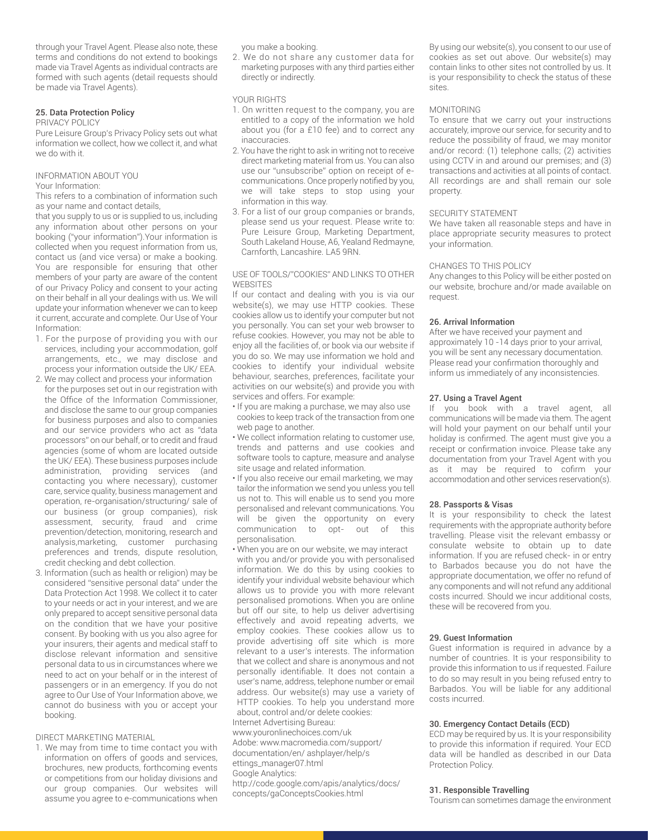through your Travel Agent. Please also note, these terms and conditions do not extend to bookings made via Travel Agents as individual contracts are formed with such agents (detail requests should be made via Travel Agents).

# 25. Data Protection Policy

#### PRIVACY POLICY

Pure Leisure Group's Privacy Policy sets out what information we collect, how we collect it, and what we do with it.

#### INFORMATION ABOUT YOU Your Information:

This refers to a combination of information such as your name and contact details,

that you supply to us or is supplied to us, including any information about other persons on your booking ("your information").Your information is collected when you request information from us, contact us (and vice versa) or make a booking. You are responsible for ensuring that other members of your party are aware of the content of our Privacy Policy and consent to your acting on their behalf in all your dealings with us. We will update your information whenever we can to keep it current, accurate and complete. Our Use of Your Information:

- 1. For the purpose of providing you with our services, including your accommodation, golf arrangements, etc., we may disclose and process your information outside the UK/ EEA.
- 2. We may collect and process your information for the purposes set out in our registration with the Office of the Information Commissioner, and disclose the same to our group companies for business purposes and also to companies and our service providers who act as "data processors" on our behalf, or to credit and fraud agencies (some of whom are located outside the UK/ EEA). These business purposes include administration, providing services (and contacting you where necessary), customer care, service quality, business management and operation, re-organisation/structuring/ sale of our business (or group companies), risk assessment, security, fraud and crime prevention/detection, monitoring, research and analysis,marketing, customer purchasing preferences and trends, dispute resolution, credit checking and debt collection.
- 3. Information (such as health or religion) may be considered "sensitive personal data" under the Data Protection Act 1998. We collect it to cater to your needs or act in your interest, and we are only prepared to accept sensitive personal data on the condition that we have your positive consent. By booking with us you also agree for your insurers, their agents and medical staff to disclose relevant information and sensitive personal data to us in circumstances where we need to act on your behalf or in the interest of passengers or in an emergency. If you do not agree to Our Use of Your Information above, we cannot do business with you or accept your booking.

# DIRECT MARKETING MATERIAL

1. We may from time to time contact you with information on offers of goods and services, brochures, new products, forthcoming events or competitions from our holiday divisions and our group companies. Our websites will assume you agree to e-communications when you make a booking.

2. We do not share any customer data for marketing purposes with any third parties either directly or indirectly.

YOUR RIGHTS

- 1. On written request to the company, you are entitled to a copy of the information we hold about you (for a £10 fee) and to correct any inaccuracies.
- 2. You have the right to ask in writing not to receive direct marketing material from us. You can also use our "unsubscribe" option on receipt of ecommunications. Once properly notified by you, we will take steps to stop using your information in this way.
- 3. For a list of our group companies or brands, please send us your request. Please write to: Pure Leisure Group, Marketing Department, South Lakeland House, A6, Yealand Redmayne, Carnforth, Lancashire. LA5 9RN.

# USE OF TOOLS/"COOKIES" AND LINKS TO OTHER **WEBSITES**

If our contact and dealing with you is via our website(s), we may use HTTP cookies. These cookies allow us to identify your computer but not you personally. You can set your web browser to refuse cookies. However, you may not be able to enjoy all the facilities of, or book via our website if you do so. We may use information we hold and cookies to identify your individual website behaviour, searches, preferences, facilitate your activities on our website(s) and provide you with services and offers. For example:

- If you are making a purchase, we may also use cookies to keep track of the transaction from one web page to another.
- We collect information relating to customer use, trends and patterns and use cookies and software tools to capture, measure and analyse site usage and related information.
- If you also receive our email marketing, we may tailor the information we send you unless you tell us not to. This will enable us to send you more personalised and relevant communications. You will be given the opportunity on every communication to opt- out of this personalisation.
- When you are on our website, we may interact with you and/or provide you with personalised information. We do this by using cookies to identify your individual website behaviour which allows us to provide you with more relevant personalised promotions. When you are online but off our site, to help us deliver advertising effectively and avoid repeating adverts, we employ cookies. These cookies allow us to provide advertising off site which is more relevant to a user's interests. The information that we collect and share is anonymous and not personally identifiable. It does not contain a user's name, address, telephone number or email address. Our website(s) may use a variety of HTTP cookies. To help you understand more about, control and/or delete cookies: Internet Advertising Bureau: www.youronlinechoices.com/uk Adobe: www.macromedia.com/support/

documentation/en/ ashplayer/help/s

# ettings\_manager07.html

Google Analytics:

http://code.google.com/apis/analytics/docs/ concepts/gaConceptsCookies.html

By using our website(s), you consent to our use of cookies as set out above. Our website(s) may contain links to other sites not controlled by us. It is your responsibility to check the status of these sites.

# MONITORING

To ensure that we carry out your instructions accurately, improve our service, for security and to reduce the possibility of fraud, we may monitor and/or record: (1) telephone calls; (2) activities using CCTV in and around our premises; and (3) transactions and activities at all points of contact. All recordings are and shall remain our sole property.

## SECURITY STATEMENT

We have taken all reasonable steps and have in place appropriate security measures to protect your information.

## CHANGES TO THIS POLICY

Any changes to this Policy will be either posted on our website, brochure and/or made available on request.

# 26. Arrival Information

After we have received your payment and approximately 10 -14 days prior to your arrival, you will be sent any necessary documentation. Please read your confirmation thoroughly and inform us immediately of any inconsistencies.

# 27. Using a Travel Agent

If you book with a travel agent, all communications will be made via them. The agent will hold your payment on our behalf until your holiday is confirmed. The agent must give you a receipt or confirmation invoice. Please take any documentation from your Travel Agent with you as it may be required to cofirm your accommodation and other services reservation(s).

## 28. Passports & Visas

It is your responsibility to check the latest requirements with the appropriate authority before travelling. Please visit the relevant embassy or consulate website to obtain up to date information. If you are refused check- in or entry to Barbados because you do not have the appropriate documentation, we offer no refund of any components and will not refund any additional costs incurred. Should we incur additional costs, these will be recovered from you.

## 29. Guest Information

Guest information is required in advance by a number of countries. It is your responsibility to provide this information to us if requested. Failure to do so may result in you being refused entry to Barbados. You will be liable for any additional costs incurred.

## 30. Emergency Contact Details (ECD)

ECD may be required by us. It is your responsibility to provide this information if required. Your ECD data will be handled as described in our Data Protection Policy.

## 31. Responsible Travelling

Tourism can sometimes damage the environment